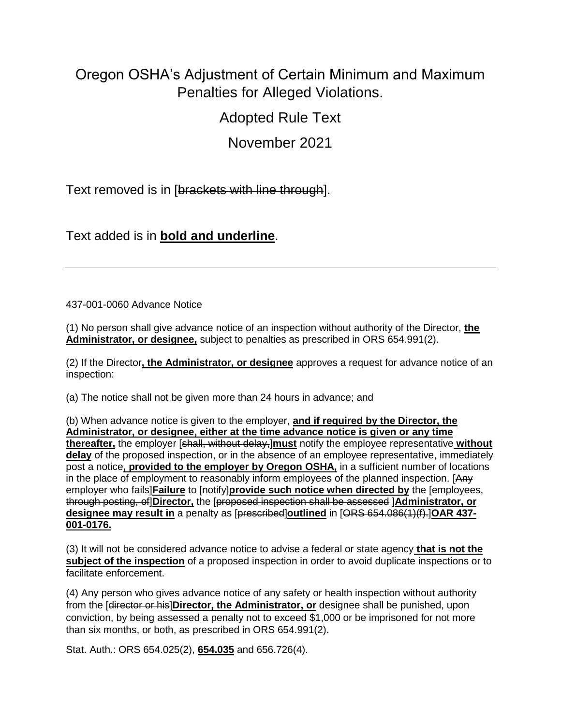## Oregon OSHA's Adjustment of Certain Minimum and Maximum Penalties for Alleged Violations.

Adopted Rule Text

November 2021

Text removed is in [brackets with line through].

Text added is in **bold and underline**.

437-001-0060 Advance Notice

(1) No person shall give advance notice of an inspection without authority of the Director, **the Administrator, or designee,** subject to penalties as prescribed in ORS 654.991(2).

(2) If the Director**, the Administrator, or designee** approves a request for advance notice of an inspection:

(a) The notice shall not be given more than 24 hours in advance; and

(b) When advance notice is given to the employer, **and if required by the Director, the Administrator, or designee, either at the time advance notice is given or any time thereafter,** the employer [shall, without delay,]**must** notify the employee representative **without delay** of the proposed inspection, or in the absence of an employee representative, immediately post a notice**, provided to the employer by Oregon OSHA,** in a sufficient number of locations in the place of employment to reasonably inform employees of the planned inspection. [Any employer who fails]**Failure** to [notify]**provide such notice when directed by** the [employees, through posting, of]**Director,** the [proposed inspection shall be assessed ]**Administrator, or designee may result in** a penalty as [prescribed]**outlined** in [ORS 654.086(1)(f).]**OAR 437- 001-0176.**

(3) It will not be considered advance notice to advise a federal or state agency **that is not the subject of the inspection** of a proposed inspection in order to avoid duplicate inspections or to facilitate enforcement.

(4) Any person who gives advance notice of any safety or health inspection without authority from the [director or his]**Director, the Administrator, or** designee shall be punished, upon conviction, by being assessed a penalty not to exceed \$1,000 or be imprisoned for not more than six months, or both, as prescribed in ORS 654.991(2).

Stat. Auth.: ORS 654.025(2), **654.035** and 656.726(4).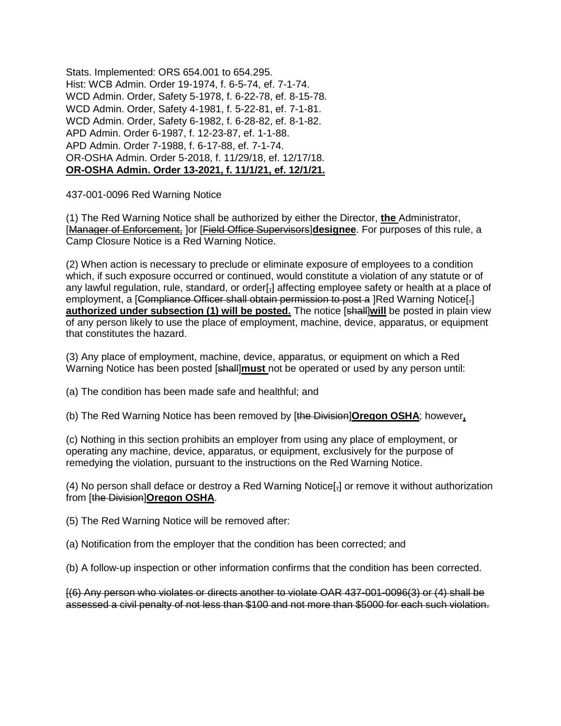Stats. Implemented: ORS 654.001 to 654.295. Hist: WCB Admin. Order 19-1974, f. 6-5-74, ef. 7-1-74. WCD Admin. Order, Safety 5-1978, f. 6-22-78, ef. 8-15-78. WCD Admin. Order, Safety 4-1981, f. 5-22-81, ef. 7-1-81. WCD Admin. Order, Safety 6-1982, f. 6-28-82, ef. 8-1-82. APD Admin. Order 6-1987, f. 12-23-87, ef. 1-1-88. APD Admin. Order 7-1988, f. 6-17-88, ef. 7-1-74. OR-OSHA Admin. Order 5-2018, f. 11/29/18, ef. 12/17/18. **OR-OSHA Admin. Order 13-2021, f. 11/1/21, ef. 12/1/21.**

437-001-0096 Red Warning Notice

(1) The Red Warning Notice shall be authorized by either the Director, **the** Administrator, [Manager of Enforcement, ]or [Field Office Supervisors]**designee**. For purposes of this rule, a Camp Closure Notice is a Red Warning Notice.

(2) When action is necessary to preclude or eliminate exposure of employees to a condition which, if such exposure occurred or continued, would constitute a violation of any statute or of any lawful regulation, rule, standard, or order[-] affecting employee safety or health at a place of employment, a [Compliance Officer shall obtain permission to post a ]Red Warning Notice[-] **authorized under subsection (1) will be posted.** The notice [shall] will be posted in plain view of any person likely to use the place of employment, machine, device, apparatus, or equipment that constitutes the hazard.

(3) Any place of employment, machine, device, apparatus, or equipment on which a Red Warning Notice has been posted [shall]**must** not be operated or used by any person until:

(a) The condition has been made safe and healthful; and

(b) The Red Warning Notice has been removed by [the Division]**Oregon OSHA**; however**,**

(c) Nothing in this section prohibits an employer from using any place of employment, or operating any machine, device, apparatus, or equipment, exclusively for the purpose of remedying the violation, pursuant to the instructions on the Red Warning Notice.

(4) No person shall deface or destroy a Red Warning Notice[,] or remove it without authorization from [the Division]**Oregon OSHA**.

(5) The Red Warning Notice will be removed after:

(a) Notification from the employer that the condition has been corrected; and

(b) A follow-up inspection or other information confirms that the condition has been corrected.

[(6) Any person who violates or directs another to violate OAR 437-001-0096(3) or (4) shall be assessed a civil penalty of not less than \$100 and not more than \$5000 for each such violation.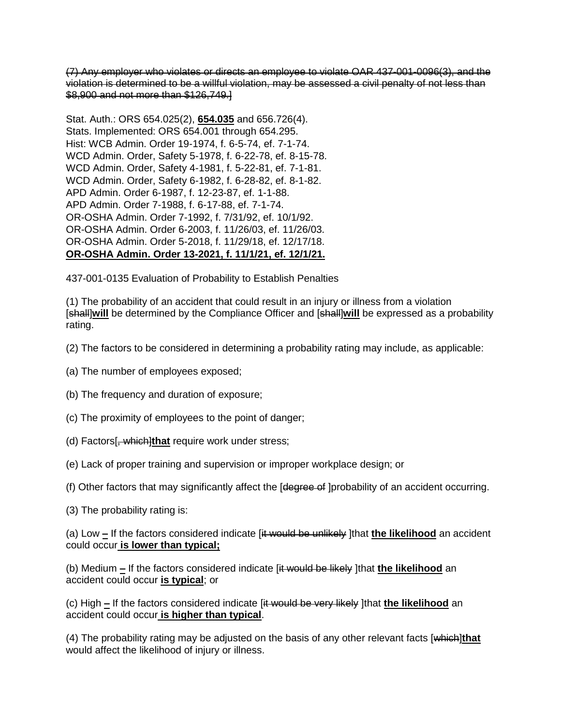(7) Any employer who violates or directs an employee to violate OAR 437-001-0096(3), and the violation is determined to be a willful violation, may be assessed a civil penalty of not less than \$8,900 and not more than \$126,749.]

Stat. Auth.: ORS 654.025(2), **654.035** and 656.726(4). Stats. Implemented: ORS 654.001 through 654.295. Hist: WCB Admin. Order 19-1974, f. 6-5-74, ef. 7-1-74. WCD Admin. Order, Safety 5-1978, f. 6-22-78, ef. 8-15-78. WCD Admin. Order, Safety 4-1981, f. 5-22-81, ef. 7-1-81. WCD Admin. Order, Safety 6-1982, f. 6-28-82, ef. 8-1-82. APD Admin. Order 6-1987, f. 12-23-87, ef. 1-1-88. APD Admin. Order 7-1988, f. 6-17-88, ef. 7-1-74. OR-OSHA Admin. Order 7-1992, f. 7/31/92, ef. 10/1/92. OR-OSHA Admin. Order 6-2003, f. 11/26/03, ef. 11/26/03. OR-OSHA Admin. Order 5-2018, f. 11/29/18, ef. 12/17/18. **OR-OSHA Admin. Order 13-2021, f. 11/1/21, ef. 12/1/21.**

437-001-0135 Evaluation of Probability to Establish Penalties

(1) The probability of an accident that could result in an injury or illness from a violation [shall]**will** be determined by the Compliance Officer and [shall]**will** be expressed as a probability rating.

(2) The factors to be considered in determining a probability rating may include, as applicable:

- (a) The number of employees exposed;
- (b) The frequency and duration of exposure;
- (c) The proximity of employees to the point of danger;
- (d) Factors[, which]**that** require work under stress;
- (e) Lack of proper training and supervision or improper workplace design; or
- (f) Other factors that may significantly affect the [degree of ]probability of an accident occurring.
- (3) The probability rating is:

(a) Low **–** If the factors considered indicate [it would be unlikely ]that **the likelihood** an accident could occur **is lower than typical;**

(b) Medium **–** If the factors considered indicate [it would be likely ]that **the likelihood** an accident could occur **is typical**; or

(c) High **–** If the factors considered indicate [it would be very likely ]that **the likelihood** an accident could occur **is higher than typical**.

(4) The probability rating may be adjusted on the basis of any other relevant facts [which]**that** would affect the likelihood of injury or illness.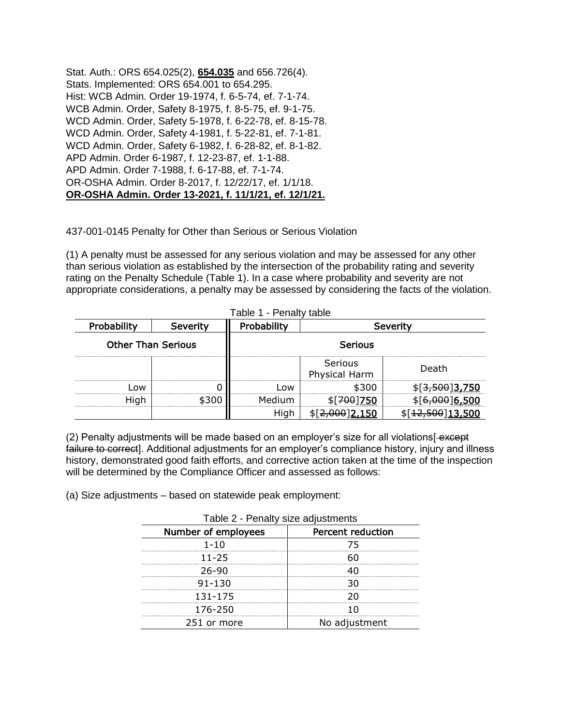Stat. Auth.: ORS 654.025(2), **654.035** and 656.726(4). Stats. Implemented: ORS 654.001 to 654.295. Hist: WCB Admin. Order 19-1974, f. 6-5-74, ef. 7-1-74. WCB Admin. Order, Safety 8-1975, f. 8-5-75, ef. 9-1-75. WCD Admin. Order, Safety 5-1978, f. 6-22-78, ef. 8-15-78. WCD Admin. Order, Safety 4-1981, f. 5-22-81, ef. 7-1-81. WCD Admin. Order, Safety 6-1982, f. 6-28-82, ef. 8-1-82. APD Admin. Order 6-1987, f. 12-23-87, ef. 1-1-88. APD Admin. Order 7-1988, f. 6-17-88, ef. 7-1-74. OR-OSHA Admin. Order 8-2017, f. 12/22/17, ef. 1/1/18. **OR-OSHA Admin. Order 13-2021, f. 11/1/21, ef. 12/1/21.**

437-001-0145 Penalty for Other than Serious or Serious Violation

(1) A penalty must be assessed for any serious violation and may be assessed for any other than serious violation as established by the intersection of the probability rating and severity rating on the Penalty Schedule (Table 1). In a case where probability and severity are not appropriate considerations, a penalty may be assessed by considering the facts of the violation.

| able 1 - Penalty table    |          |                         |                          |                          |  |
|---------------------------|----------|-------------------------|--------------------------|--------------------------|--|
| Probability               | Severity | Probability<br>Severity |                          |                          |  |
| <b>Other Than Serious</b> |          | <b>Serious</b>          |                          |                          |  |
|                           |          |                         | Serious<br>Physical Harm | Death                    |  |
| nw                        |          | ωw                      |                          | 3 <del>,500</del> ]3,750 |  |
| Hiah                      |          |                         |                          | <u>16,500</u>            |  |
|                           |          |                         |                          | <del>12,500</del> 13,500 |  |

Table 1 - Penalty table

(2) Penalty adjustments will be made based on an employer's size for all violations[-except] failure to correct]. Additional adjustments for an employer's compliance history, injury and illness history, demonstrated good faith efforts, and corrective action taken at the time of the inspection will be determined by the Compliance Officer and assessed as follows:

(a) Size adjustments – based on statewide peak employment:

| Table 2 - Penalty size adjustments |                          |  |
|------------------------------------|--------------------------|--|
| Number of employees                | <b>Percent reduction</b> |  |
| $1 - 10$                           | 75                       |  |
| 11-25                              |                          |  |
| 26-90                              |                          |  |
| $91 - 130$                         | חד                       |  |
| 131-175                            | 20                       |  |
| 176-250                            |                          |  |
| 251 or more                        | No adjustment            |  |

Table 2 - Penalty size adjustments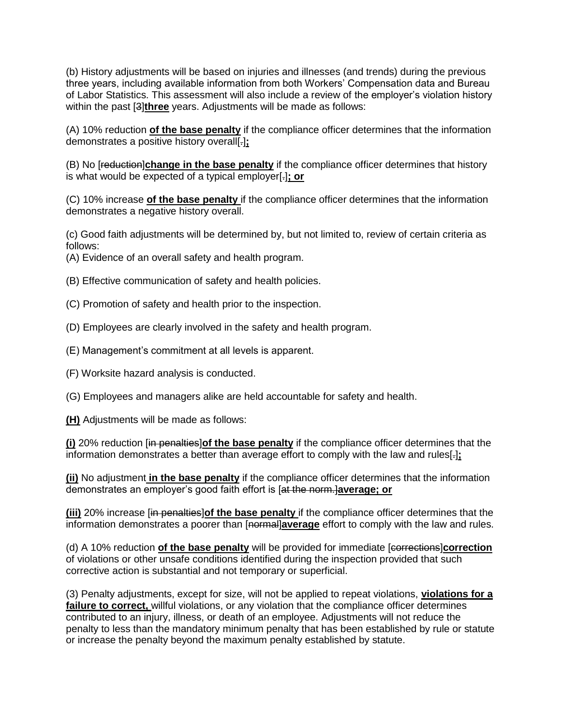(b) History adjustments will be based on injuries and illnesses (and trends) during the previous three years, including available information from both Workers' Compensation data and Bureau of Labor Statistics. This assessment will also include a review of the employer's violation history within the past [3]**three** years. Adjustments will be made as follows:

(A) 10% reduction **of the base penalty** if the compliance officer determines that the information demonstrates a positive history overall[.]**;**

(B) No [reduction]**change in the base penalty** if the compliance officer determines that history is what would be expected of a typical employer[.]**; or**

(C) 10% increase **of the base penalty** if the compliance officer determines that the information demonstrates a negative history overall.

(c) Good faith adjustments will be determined by, but not limited to, review of certain criteria as follows:

(A) Evidence of an overall safety and health program.

(B) Effective communication of safety and health policies.

(C) Promotion of safety and health prior to the inspection.

(D) Employees are clearly involved in the safety and health program.

(E) Management's commitment at all levels is apparent.

(F) Worksite hazard analysis is conducted.

(G) Employees and managers alike are held accountable for safety and health.

**(H)** Adjustments will be made as follows:

**(i)** 20% reduction [in penalties]**of the base penalty** if the compliance officer determines that the information demonstrates a better than average effort to comply with the law and rules[.]**;**

**(ii)** No adjustment **in the base penalty** if the compliance officer determines that the information demonstrates an employer's good faith effort is [at the norm.]**average; or**

**(iii)** 20% increase [in penalties]**of the base penalty** if the compliance officer determines that the information demonstrates a poorer than [normal]**average** effort to comply with the law and rules.

(d) A 10% reduction **of the base penalty** will be provided for immediate [corrections]**correction** of violations or other unsafe conditions identified during the inspection provided that such corrective action is substantial and not temporary or superficial.

(3) Penalty adjustments, except for size, will not be applied to repeat violations, **violations for a failure to correct,** willful violations, or any violation that the compliance officer determines contributed to an injury, illness, or death of an employee. Adjustments will not reduce the penalty to less than the mandatory minimum penalty that has been established by rule or statute or increase the penalty beyond the maximum penalty established by statute.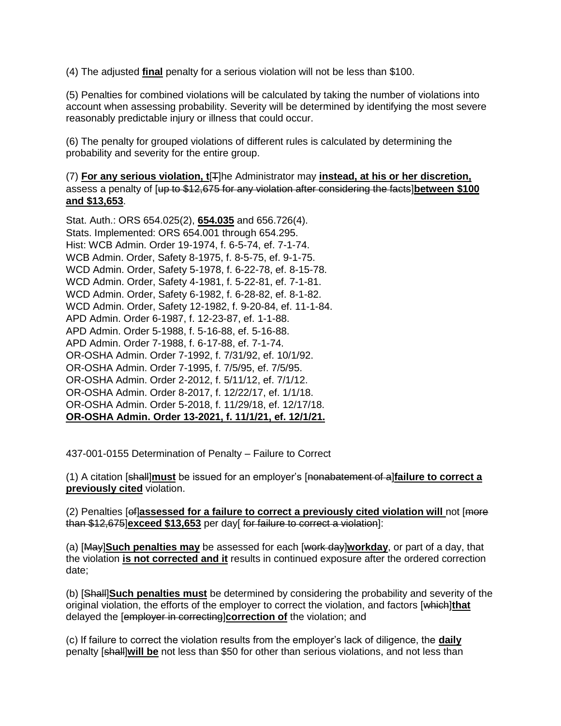(4) The adjusted **final** penalty for a serious violation will not be less than \$100.

(5) Penalties for combined violations will be calculated by taking the number of violations into account when assessing probability. Severity will be determined by identifying the most severe reasonably predictable injury or illness that could occur.

(6) The penalty for grouped violations of different rules is calculated by determining the probability and severity for the entire group.

(7) **For any serious violation, t**[T]he Administrator may **instead, at his or her discretion,** assess a penalty of [up to \$12,675 for any violation after considering the facts]**between \$100 and \$13,653**.

Stat. Auth.: ORS 654.025(2), **654.035** and 656.726(4). Stats. Implemented: ORS 654.001 through 654.295. Hist: WCB Admin. Order 19-1974, f. 6-5-74, ef. 7-1-74. WCB Admin. Order, Safety 8-1975, f. 8-5-75, ef. 9-1-75. WCD Admin. Order, Safety 5-1978, f. 6-22-78, ef. 8-15-78. WCD Admin. Order, Safety 4-1981, f. 5-22-81, ef. 7-1-81. WCD Admin. Order, Safety 6-1982, f. 6-28-82, ef. 8-1-82. WCD Admin. Order, Safety 12-1982, f. 9-20-84, ef. 11-1-84. APD Admin. Order 6-1987, f. 12-23-87, ef. 1-1-88. APD Admin. Order 5-1988, f. 5-16-88, ef. 5-16-88. APD Admin. Order 7-1988, f. 6-17-88, ef. 7-1-74. OR-OSHA Admin. Order 7-1992, f. 7/31/92, ef. 10/1/92. OR-OSHA Admin. Order 7-1995, f. 7/5/95, ef. 7/5/95. OR-OSHA Admin. Order 2-2012, f. 5/11/12, ef. 7/1/12. OR-OSHA Admin. Order 8-2017, f. 12/22/17, ef. 1/1/18. OR-OSHA Admin. Order 5-2018, f. 11/29/18, ef. 12/17/18. **OR-OSHA Admin. Order 13-2021, f. 11/1/21, ef. 12/1/21.**

437-001-0155 Determination of Penalty – Failure to Correct

(1) A citation [shall]**must** be issued for an employer's [nonabatement of a]**failure to correct a previously cited** violation.

(2) Penalties [of]**assessed for a failure to correct a previously cited violation will** not [more than \$12,675]**exceed \$13,653** per day[ for failure to correct a violation]:

(a) [May]**Such penalties may** be assessed for each [work day]**workday**, or part of a day, that the violation **is not corrected and it** results in continued exposure after the ordered correction date;

(b) [Shall]**Such penalties must** be determined by considering the probability and severity of the original violation, the efforts of the employer to correct the violation, and factors [which]**that** delayed the [employer in correcting]**correction of** the violation; and

(c) If failure to correct the violation results from the employer's lack of diligence, the **daily**  penalty [shall]**will be** not less than \$50 for other than serious violations, and not less than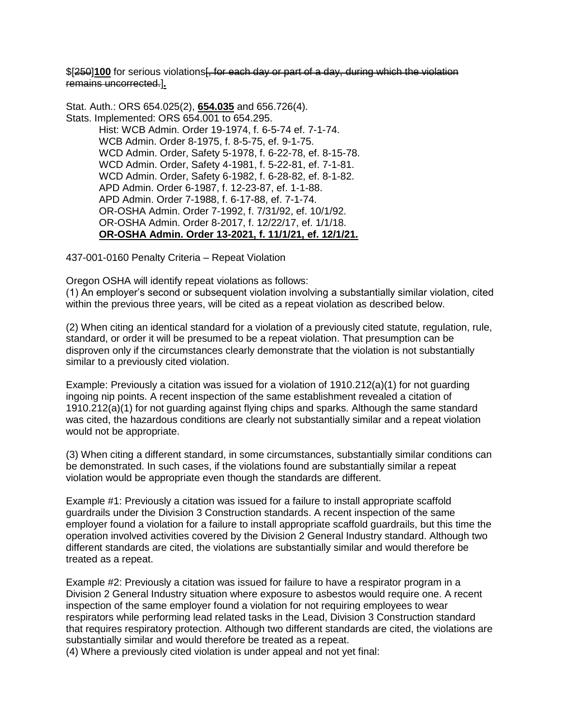\$[250]**100** for serious violations<del>[, for each day or part of a day, during which the violation</del> remains uncorrected.]**.**

Stat. Auth.: ORS 654.025(2), **654.035** and 656.726(4). Stats. Implemented: ORS 654.001 to 654.295. Hist: WCB Admin. Order 19-1974, f. 6-5-74 ef. 7-1-74. WCB Admin. Order 8-1975, f. 8-5-75, ef. 9-1-75. WCD Admin. Order, Safety 5-1978, f. 6-22-78, ef. 8-15-78. WCD Admin. Order, Safety 4-1981, f. 5-22-81, ef. 7-1-81. WCD Admin. Order, Safety 6-1982, f. 6-28-82, ef. 8-1-82. APD Admin. Order 6-1987, f. 12-23-87, ef. 1-1-88. APD Admin. Order 7-1988, f. 6-17-88, ef. 7-1-74. OR-OSHA Admin. Order 7-1992, f. 7/31/92, ef. 10/1/92. OR-OSHA Admin. Order 8-2017, f. 12/22/17, ef. 1/1/18. **OR-OSHA Admin. Order 13-2021, f. 11/1/21, ef. 12/1/21.**

437-001-0160 Penalty Criteria – Repeat Violation

Oregon OSHA will identify repeat violations as follows:

(1) An employer's second or subsequent violation involving a substantially similar violation, cited within the previous three years, will be cited as a repeat violation as described below.

(2) When citing an identical standard for a violation of a previously cited statute, regulation, rule, standard, or order it will be presumed to be a repeat violation. That presumption can be disproven only if the circumstances clearly demonstrate that the violation is not substantially similar to a previously cited violation.

Example: Previously a citation was issued for a violation of 1910.212(a)(1) for not guarding ingoing nip points. A recent inspection of the same establishment revealed a citation of 1910.212(a)(1) for not guarding against flying chips and sparks. Although the same standard was cited, the hazardous conditions are clearly not substantially similar and a repeat violation would not be appropriate.

(3) When citing a different standard, in some circumstances, substantially similar conditions can be demonstrated. In such cases, if the violations found are substantially similar a repeat violation would be appropriate even though the standards are different.

Example #1: Previously a citation was issued for a failure to install appropriate scaffold guardrails under the Division 3 Construction standards. A recent inspection of the same employer found a violation for a failure to install appropriate scaffold guardrails, but this time the operation involved activities covered by the Division 2 General Industry standard. Although two different standards are cited, the violations are substantially similar and would therefore be treated as a repeat.

Example #2: Previously a citation was issued for failure to have a respirator program in a Division 2 General Industry situation where exposure to asbestos would require one. A recent inspection of the same employer found a violation for not requiring employees to wear respirators while performing lead related tasks in the Lead, Division 3 Construction standard that requires respiratory protection. Although two different standards are cited, the violations are substantially similar and would therefore be treated as a repeat.

(4) Where a previously cited violation is under appeal and not yet final: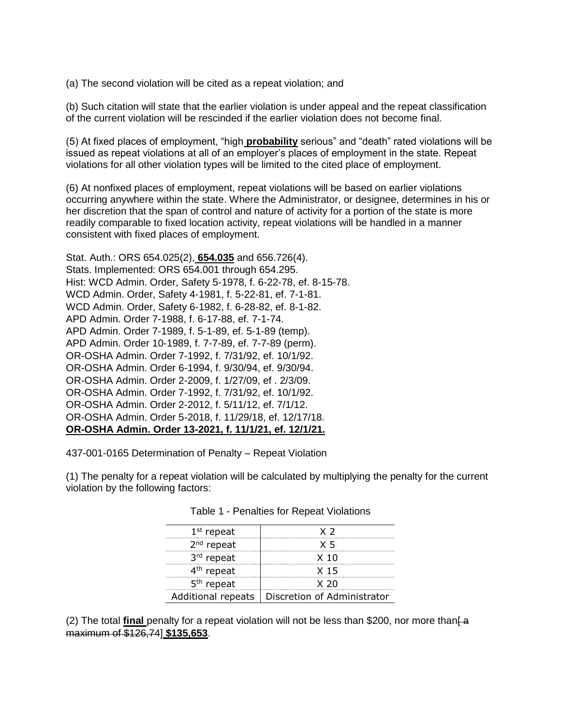(a) The second violation will be cited as a repeat violation; and

(b) Such citation will state that the earlier violation is under appeal and the repeat classification of the current violation will be rescinded if the earlier violation does not become final.

(5) At fixed places of employment, "high **probability** serious" and "death" rated violations will be issued as repeat violations at all of an employer's places of employment in the state. Repeat violations for all other violation types will be limited to the cited place of employment.

(6) At nonfixed places of employment, repeat violations will be based on earlier violations occurring anywhere within the state. Where the Administrator, or designee, determines in his or her discretion that the span of control and nature of activity for a portion of the state is more readily comparable to fixed location activity, repeat violations will be handled in a manner consistent with fixed places of employment.

Stat. Auth.: ORS 654.025(2), **654.035** and 656.726(4). Stats. Implemented: ORS 654.001 through 654.295. Hist: WCD Admin. Order, Safety 5-1978, f. 6-22-78, ef. 8-15-78. WCD Admin. Order, Safety 4-1981, f. 5-22-81, ef. 7-1-81. WCD Admin. Order, Safety 6-1982, f. 6-28-82, ef. 8-1-82. APD Admin. Order 7-1988, f. 6-17-88, ef. 7-1-74. APD Admin. Order 7-1989, f. 5-1-89, ef. 5-1-89 (temp). APD Admin. Order 10-1989, f. 7-7-89, ef. 7-7-89 (perm). OR-OSHA Admin. Order 7-1992, f. 7/31/92, ef. 10/1/92. OR-OSHA Admin. Order 6-1994, f. 9/30/94, ef. 9/30/94. OR-OSHA Admin. Order 2-2009, f. 1/27/09, ef . 2/3/09. OR-OSHA Admin. Order 7-1992, f. 7/31/92, ef. 10/1/92. OR-OSHA Admin. Order 2-2012, f. 5/11/12, ef. 7/1/12. OR-OSHA Admin. Order 5-2018, f. 11/29/18, ef. 12/17/18. **OR-OSHA Admin. Order 13-2021, f. 11/1/21, ef. 12/1/21.**

437-001-0165 Determination of Penalty – Repeat Violation

(1) The penalty for a repeat violation will be calculated by multiplying the penalty for the current violation by the following factors:

| $1st$ repeat       | $\times$ 2                  |
|--------------------|-----------------------------|
| $2nd$ repeat       | $\times$ 5                  |
| 3rd repeat         | X <sub>10</sub>             |
| $4th$ repeat       | X 15                        |
| $5th$ repeat       | X 20                        |
| Additional repeats | Discretion of Administrator |

Table 1 - Penalties for Repeat Violations

(2) The total **final** penalty for a repeat violation will not be less than \$200, nor more than  $\hat{A}$ maximum of \$126,74] **\$135,653**.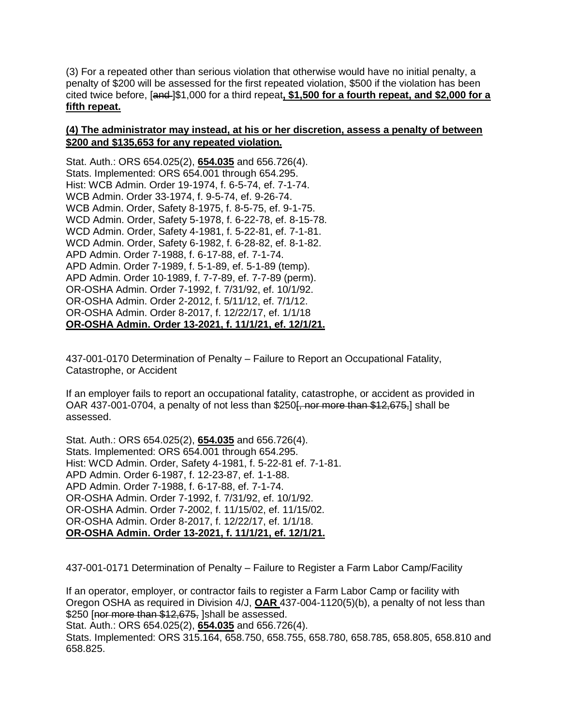(3) For a repeated other than serious violation that otherwise would have no initial penalty, a penalty of \$200 will be assessed for the first repeated violation, \$500 if the violation has been cited twice before, [and ]\$1,000 for a third repeat**, \$1,500 for a fourth repeat, and \$2,000 for a fifth repeat.**

## **(4) The administrator may instead, at his or her discretion, assess a penalty of between \$200 and \$135,653 for any repeated violation.**

Stat. Auth.: ORS 654.025(2), **654.035** and 656.726(4). Stats. Implemented: ORS 654.001 through 654.295. Hist: WCB Admin. Order 19-1974, f. 6-5-74, ef. 7-1-74. WCB Admin. Order 33-1974, f. 9-5-74, ef. 9-26-74. WCB Admin. Order, Safety 8-1975, f. 8-5-75, ef. 9-1-75. WCD Admin. Order, Safety 5-1978, f. 6-22-78, ef. 8-15-78. WCD Admin. Order, Safety 4-1981, f. 5-22-81, ef. 7-1-81. WCD Admin. Order, Safety 6-1982, f. 6-28-82, ef. 8-1-82. APD Admin. Order 7-1988, f. 6-17-88, ef. 7-1-74. APD Admin. Order 7-1989, f. 5-1-89, ef. 5-1-89 (temp). APD Admin. Order 10-1989, f. 7-7-89, ef. 7-7-89 (perm). OR-OSHA Admin. Order 7-1992, f. 7/31/92, ef. 10/1/92. OR-OSHA Admin. Order 2-2012, f. 5/11/12, ef. 7/1/12. OR-OSHA Admin. Order 8-2017, f. 12/22/17, ef. 1/1/18 **OR-OSHA Admin. Order 13-2021, f. 11/1/21, ef. 12/1/21.**

437-001-0170 Determination of Penalty – Failure to Report an Occupational Fatality, Catastrophe, or Accident

If an employer fails to report an occupational fatality, catastrophe, or accident as provided in OAR 437-001-0704, a penalty of not less than  $$250f$ , nor more than  $$12,675$ , shall be assessed.

Stat. Auth.: ORS 654.025(2), **654.035** and 656.726(4). Stats. Implemented: ORS 654.001 through 654.295. Hist: WCD Admin. Order, Safety 4-1981, f. 5-22-81 ef. 7-1-81. APD Admin. Order 6-1987, f. 12-23-87, ef. 1-1-88. APD Admin. Order 7-1988, f. 6-17-88, ef. 7-1-74. OR-OSHA Admin. Order 7-1992, f. 7/31/92, ef. 10/1/92. OR-OSHA Admin. Order 7-2002, f. 11/15/02, ef. 11/15/02. OR-OSHA Admin. Order 8-2017, f. 12/22/17, ef. 1/1/18. **OR-OSHA Admin. Order 13-2021, f. 11/1/21, ef. 12/1/21.**

437-001-0171 Determination of Penalty – Failure to Register a Farm Labor Camp/Facility

If an operator, employer, or contractor fails to register a Farm Labor Camp or facility with Oregon OSHA as required in Division 4/J, **OAR** 437-004-1120(5)(b), a penalty of not less than \$250 [nor more than \$12,675, ]shall be assessed.

Stat. Auth.: ORS 654.025(2), **654.035** and 656.726(4).

Stats. Implemented: ORS 315.164, 658.750, 658.755, 658.780, 658.785, 658.805, 658.810 and 658.825.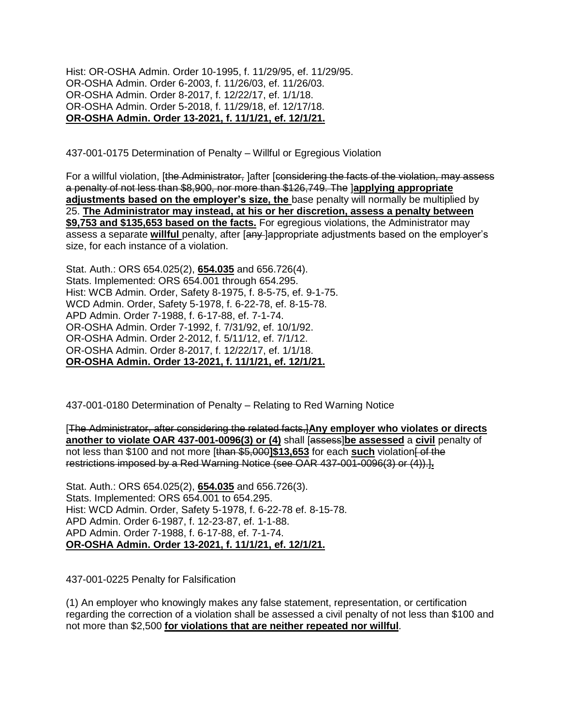Hist: OR-OSHA Admin. Order 10-1995, f. 11/29/95, ef. 11/29/95. OR-OSHA Admin. Order 6-2003, f. 11/26/03, ef. 11/26/03. OR-OSHA Admin. Order 8-2017, f. 12/22/17, ef. 1/1/18. OR-OSHA Admin. Order 5-2018, f. 11/29/18, ef. 12/17/18. **OR-OSHA Admin. Order 13-2021, f. 11/1/21, ef. 12/1/21.**

437-001-0175 Determination of Penalty – Willful or Egregious Violation

For a willful violation, [the Administrator, ]after [considering the facts of the violation, may assess a penalty of not less than \$8,900, nor more than \$126,749. The ]**applying appropriate**  adjustments based on the employer's size, the base penalty will normally be multiplied by 25. **The Administrator may instead, at his or her discretion, assess a penalty between \$9,753 and \$135,653 based on the facts.** For egregious violations, the Administrator may assess a separate **willful** penalty, after [any ]appropriate adjustments based on the employer's size, for each instance of a violation.

Stat. Auth.: ORS 654.025(2), **654.035** and 656.726(4). Stats. Implemented: ORS 654.001 through 654.295. Hist: WCB Admin. Order, Safety 8-1975, f. 8-5-75, ef. 9-1-75. WCD Admin. Order, Safety 5-1978, f. 6-22-78, ef. 8-15-78. APD Admin. Order 7-1988, f. 6-17-88, ef. 7-1-74. OR-OSHA Admin. Order 7-1992, f. 7/31/92, ef. 10/1/92. OR-OSHA Admin. Order 2-2012, f. 5/11/12, ef. 7/1/12. OR-OSHA Admin. Order 8-2017, f. 12/22/17, ef. 1/1/18. **OR-OSHA Admin. Order 13-2021, f. 11/1/21, ef. 12/1/21.**

437-001-0180 Determination of Penalty – Relating to Red Warning Notice

[The Administrator, after considering the related facts,]**Any employer who violates or directs another to violate OAR 437-001-0096(3) or (4)** shall [assessibe assessed a civil penalty of not less than \$100 and not more [than \$5,000]\$13,653 for each **such** violation of the restrictions imposed by a Red Warning Notice (see OAR 437-001-0096(3) or (4)).]**.**

Stat. Auth.: ORS 654.025(2), **654.035** and 656.726(3). Stats. Implemented: ORS 654.001 to 654.295. Hist: WCD Admin. Order, Safety 5-1978, f. 6-22-78 ef. 8-15-78. APD Admin. Order 6-1987, f. 12-23-87, ef. 1-1-88. APD Admin. Order 7-1988, f. 6-17-88, ef. 7-1-74. **OR-OSHA Admin. Order 13-2021, f. 11/1/21, ef. 12/1/21.**

437-001-0225 Penalty for Falsification

(1) An employer who knowingly makes any false statement, representation, or certification regarding the correction of a violation shall be assessed a civil penalty of not less than \$100 and not more than \$2,500 **for violations that are neither repeated nor willful**.